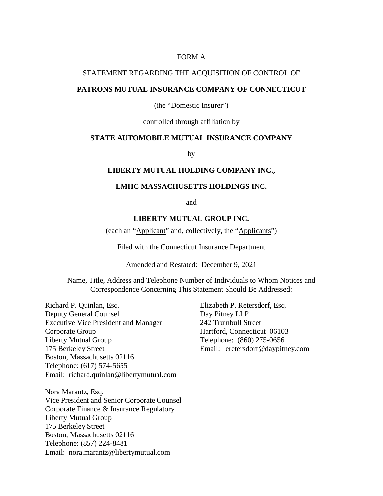### FORM A

### STATEMENT REGARDING THE ACQUISITION OF CONTROL OF

## **PATRONS MUTUAL INSURANCE COMPANY OF CONNECTICUT**

(the "Domestic Insurer")

controlled through affiliation by

## **STATE AUTOMOBILE MUTUAL INSURANCE COMPANY**

by

#### **LIBERTY MUTUAL HOLDING COMPANY INC.,**

## **LMHC MASSACHUSETTS HOLDINGS INC.**

and

## **LIBERTY MUTUAL GROUP INC.**

(each an "Applicant" and, collectively, the "Applicants")

Filed with the Connecticut Insurance Department

Amended and Restated: December 9, 2021

Name, Title, Address and Telephone Number of Individuals to Whom Notices and Correspondence Concerning This Statement Should Be Addressed:

Richard P. Quinlan, Esq. Deputy General Counsel Executive Vice President and Manager Corporate Group Liberty Mutual Group 175 Berkeley Street Boston, Massachusetts 02116 Telephone: (617) 574-5655 Email: richard.quinlan@libertymutual.com

Nora Marantz, Esq. Vice President and Senior Corporate Counsel Corporate Finance & Insurance Regulatory Liberty Mutual Group 175 Berkeley Street Boston, Massachusetts 02116 Telephone: (857) 224-8481 Email: nora.marantz@libertymutual.com

Elizabeth P. Retersdorf, Esq. Day Pitney LLP 242 Trumbull Street Hartford, Connecticut 06103 Telephone: (860) 275-0656 Email: eretersdorf@daypitney.com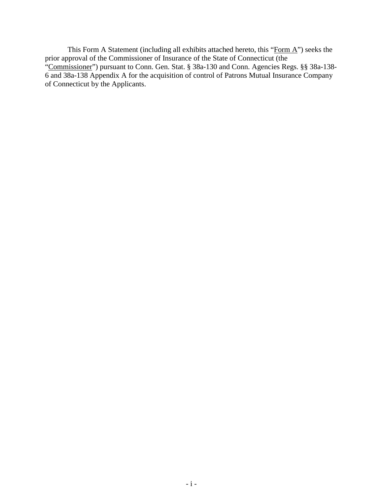This Form A Statement (including all exhibits attached hereto, this "Form A") seeks the prior approval of the Commissioner of Insurance of the State of Connecticut (the "Commissioner") pursuant to Conn. Gen. Stat. § 38a-130 and Conn. Agencies Regs. §§ 38a-138-6 and 38a-138 Appendix A for the acquisition of control of Patrons Mutual Insurance Company of Connecticut by the Applicants.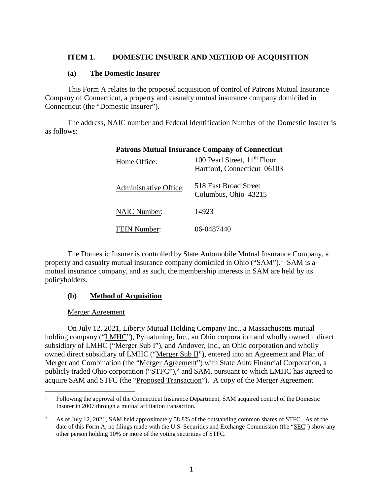## **ITEM 1. DOMESTIC INSURER AND METHOD OF ACQUISITION**

### **(a) The Domestic Insurer**

This Form A relates to the proposed acquisition of control of Patrons Mutual Insurance Company of Connecticut, a property and casualty mutual insurance company domiciled in Connecticut (the "Domestic Insurer").

The address, NAIC number and Federal Identification Number of the Domestic Insurer is as follows:

| <b>Patrons Mutual Insurance Company of Connecticut</b> |                                                                         |  |
|--------------------------------------------------------|-------------------------------------------------------------------------|--|
| Home Office:                                           | 100 Pearl Street, 11 <sup>th</sup> Floor<br>Hartford, Connecticut 06103 |  |
| Administrative Office:                                 | 518 East Broad Street<br>Columbus, Ohio 43215                           |  |
| <b>NAIC Number:</b>                                    | 14923                                                                   |  |
| <b>FEIN Number:</b>                                    | 06-0487440                                                              |  |

## The Domestic Insurer is controlled by State Automobile Mutual Insurance Company, a property and casualty mutual insurance company domiciled in Ohio ("SAM").<sup>1</sup> SAM is a mutual insurance company, and as such, the membership interests in SAM are held by its policyholders.

# **(b) Method of Acquisition**

## Merger Agreement

On July 12, 2021, Liberty Mutual Holding Company Inc., a Massachusetts mutual holding company ("LMHC"), Pymatuning, Inc., an Ohio corporation and wholly owned indirect subsidiary of LMHC ("Merger Sub I"), and Andover, Inc., an Ohio corporation and wholly owned direct subsidiary of LMHC ("Merger Sub II"), entered into an Agreement and Plan of Merger and Combination (the "Merger Agreement") with State Auto Financial Corporation, a publicly traded Ohio corporation (" $STFC$ "),<sup>2</sup> and SAM, pursuant to which LMHC has agreed to acquire SAM and STFC (the "Proposed Transaction"). A copy of the Merger Agreement

<sup>1</sup> Following the approval of the Connecticut Insurance Department, SAM acquired control of the Domestic Insurer in 2007 through a mutual affiliation transaction.

<sup>2</sup> As of July 12, 2021, SAM held approximately 58.8% of the outstanding common shares of STFC. As of the date of this Form A, no filings made with the U.S. Securities and Exchange Commission (the "SEC") show any other person holding 10% or more of the voting securities of STFC.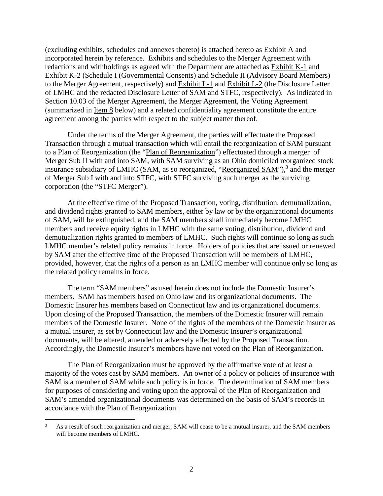(excluding exhibits, schedules and annexes thereto) is attached hereto as Exhibit A and incorporated herein by reference. Exhibits and schedules to the Merger Agreement with redactions and withholdings as agreed with the Department are attached as Exhibit K-1 and Exhibit K-2 (Schedule I (Governmental Consents) and Schedule II (Advisory Board Members) to the Merger Agreement, respectively) and Exhibit L-1 and Exhibit L-2 (the Disclosure Letter of LMHC and the redacted Disclosure Letter of SAM and STFC, respectively). As indicated in Section 10.03 of the Merger Agreement, the Merger Agreement, the Voting Agreement (summarized in Item 8 below) and a related confidentiality agreement constitute the entire agreement among the parties with respect to the subject matter thereof.

Under the terms of the Merger Agreement, the parties will effectuate the Proposed Transaction through a mutual transaction which will entail the reorganization of SAM pursuant to a Plan of Reorganization (the "Plan of Reorganization") effectuated through a merger of Merger Sub II with and into SAM, with SAM surviving as an Ohio domiciled reorganized stock insurance subsidiary of LMHC (SAM, as so reorganized, "Reorganized SAM"),<sup>3</sup> and the merger of Merger Sub I with and into STFC, with STFC surviving such merger as the surviving corporation (the "STFC Merger").

At the effective time of the Proposed Transaction, voting, distribution, demutualization, and dividend rights granted to SAM members, either by law or by the organizational documents of SAM, will be extinguished, and the SAM members shall immediately become LMHC members and receive equity rights in LMHC with the same voting, distribution, dividend and demutualization rights granted to members of LMHC. Such rights will continue so long as such LMHC member's related policy remains in force. Holders of policies that are issued or renewed by SAM after the effective time of the Proposed Transaction will be members of LMHC, provided, however, that the rights of a person as an LMHC member will continue only so long as the related policy remains in force.

The term "SAM members" as used herein does not include the Domestic Insurer's members. SAM has members based on Ohio law and its organizational documents. The Domestic Insurer has members based on Connecticut law and its organizational documents. Upon closing of the Proposed Transaction, the members of the Domestic Insurer will remain members of the Domestic Insurer. None of the rights of the members of the Domestic Insurer as a mutual insurer, as set by Connecticut law and the Domestic Insurer's organizational documents, will be altered, amended or adversely affected by the Proposed Transaction. Accordingly, the Domestic Insurer's members have not voted on the Plan of Reorganization.

The Plan of Reorganization must be approved by the affirmative vote of at least a majority of the votes cast by SAM members. An owner of a policy or policies of insurance with SAM is a member of SAM while such policy is in force. The determination of SAM members for purposes of considering and voting upon the approval of the Plan of Reorganization and SAM's amended organizational documents was determined on the basis of SAM's records in accordance with the Plan of Reorganization.

<sup>3</sup> As a result of such reorganization and merger, SAM will cease to be a mutual insurer, and the SAM members will become members of LMHC.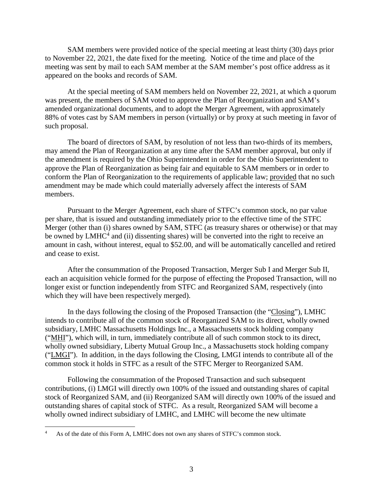SAM members were provided notice of the special meeting at least thirty (30) days prior to November 22, 2021, the date fixed for the meeting. Notice of the time and place of the meeting was sent by mail to each SAM member at the SAM member's post office address as it appeared on the books and records of SAM.

At the special meeting of SAM members held on November 22, 2021, at which a quorum was present, the members of SAM voted to approve the Plan of Reorganization and SAM's amended organizational documents, and to adopt the Merger Agreement, with approximately 88% of votes cast by SAM members in person (virtually) or by proxy at such meeting in favor of such proposal.

The board of directors of SAM, by resolution of not less than two-thirds of its members, may amend the Plan of Reorganization at any time after the SAM member approval, but only if the amendment is required by the Ohio Superintendent in order for the Ohio Superintendent to approve the Plan of Reorganization as being fair and equitable to SAM members or in order to conform the Plan of Reorganization to the requirements of applicable law; provided that no such amendment may be made which could materially adversely affect the interests of SAM members.

Pursuant to the Merger Agreement, each share of STFC's common stock, no par value per share, that is issued and outstanding immediately prior to the effective time of the STFC Merger (other than (i) shares owned by SAM, STFC (as treasury shares or otherwise) or that may be owned by LMHC<sup>4</sup> and (ii) dissenting shares) will be converted into the right to receive an amount in cash, without interest, equal to \$52.00, and will be automatically cancelled and retired and cease to exist.

After the consummation of the Proposed Transaction, Merger Sub I and Merger Sub II, each an acquisition vehicle formed for the purpose of effecting the Proposed Transaction, will no longer exist or function independently from STFC and Reorganized SAM, respectively (into which they will have been respectively merged).

In the days following the closing of the Proposed Transaction (the "Closing"), LMHC intends to contribute all of the common stock of Reorganized SAM to its direct, wholly owned subsidiary, LMHC Massachusetts Holdings Inc., a Massachusetts stock holding company ("MHI"), which will, in turn, immediately contribute all of such common stock to its direct, wholly owned subsidiary, Liberty Mutual Group Inc., a Massachusetts stock holding company ("LMGI"). In addition, in the days following the Closing, LMGI intends to contribute all of the common stock it holds in STFC as a result of the STFC Merger to Reorganized SAM.

Following the consummation of the Proposed Transaction and such subsequent contributions, (i) LMGI will directly own 100% of the issued and outstanding shares of capital stock of Reorganized SAM, and (ii) Reorganized SAM will directly own 100% of the issued and outstanding shares of capital stock of STFC. As a result, Reorganized SAM will become a wholly owned indirect subsidiary of LMHC, and LMHC will become the new ultimate

<sup>4</sup> As of the date of this Form A, LMHC does not own any shares of STFC's common stock.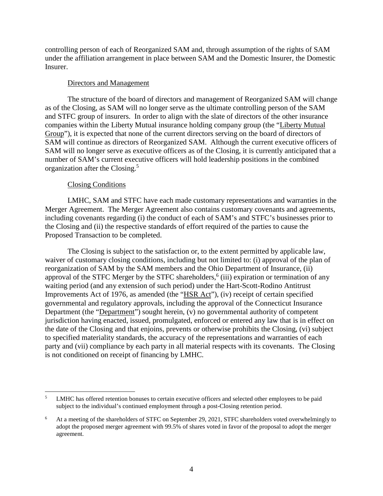controlling person of each of Reorganized SAM and, through assumption of the rights of SAM under the affiliation arrangement in place between SAM and the Domestic Insurer, the Domestic Insurer.

#### Directors and Management

The structure of the board of directors and management of Reorganized SAM will change as of the Closing, as SAM will no longer serve as the ultimate controlling person of the SAM and STFC group of insurers. In order to align with the slate of directors of the other insurance companies within the Liberty Mutual insurance holding company group (the "Liberty Mutual Group"), it is expected that none of the current directors serving on the board of directors of SAM will continue as directors of Reorganized SAM. Although the current executive officers of SAM will no longer serve as executive officers as of the Closing, it is currently anticipated that a number of SAM's current executive officers will hold leadership positions in the combined organization after the Closing.<sup>5</sup>

### Closing Conditions

LMHC, SAM and STFC have each made customary representations and warranties in the Merger Agreement. The Merger Agreement also contains customary covenants and agreements, including covenants regarding (i) the conduct of each of SAM's and STFC's businesses prior to the Closing and (ii) the respective standards of effort required of the parties to cause the Proposed Transaction to be completed.

The Closing is subject to the satisfaction or, to the extent permitted by applicable law, waiver of customary closing conditions, including but not limited to: (i) approval of the plan of reorganization of SAM by the SAM members and the Ohio Department of Insurance, (ii) approval of the STFC Merger by the STFC shareholders,<sup>6</sup> (iii) expiration or termination of any waiting period (and any extension of such period) under the Hart-Scott-Rodino Antitrust Improvements Act of 1976, as amended (the "HSR Act"), (iv) receipt of certain specified governmental and regulatory approvals, including the approval of the Connecticut Insurance Department (the "Department") sought herein, (v) no governmental authority of competent jurisdiction having enacted, issued, promulgated, enforced or entered any law that is in effect on the date of the Closing and that enjoins, prevents or otherwise prohibits the Closing, (vi) subject to specified materiality standards, the accuracy of the representations and warranties of each party and (vii) compliance by each party in all material respects with its covenants. The Closing is not conditioned on receipt of financing by LMHC.

<sup>5</sup> LMHC has offered retention bonuses to certain executive officers and selected other employees to be paid subject to the individual's continued employment through a post-Closing retention period.

<sup>6</sup> At a meeting of the shareholders of STFC on September 29, 2021, STFC shareholders voted overwhelmingly to adopt the proposed merger agreement with 99.5% of shares voted in favor of the proposal to adopt the merger agreement.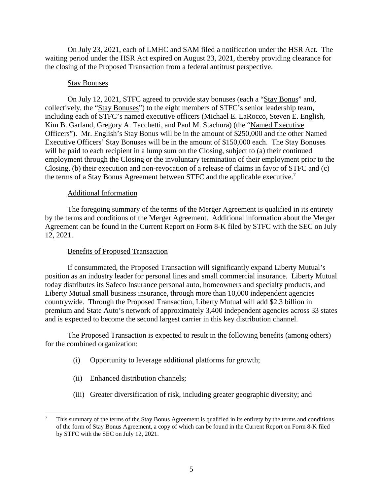On July 23, 2021, each of LMHC and SAM filed a notification under the HSR Act. The waiting period under the HSR Act expired on August 23, 2021, thereby providing clearance for the closing of the Proposed Transaction from a federal antitrust perspective.

#### Stay Bonuses

On July 12, 2021, STFC agreed to provide stay bonuses (each a "Stay Bonus" and, collectively, the "Stay Bonuses") to the eight members of STFC's senior leadership team, including each of STFC's named executive officers (Michael E. LaRocco, Steven E. English, Kim B. Garland, Gregory A. Tacchetti, and Paul M. Stachura) (the "Named Executive Officers"). Mr. English's Stay Bonus will be in the amount of \$250,000 and the other Named Executive Officers' Stay Bonuses will be in the amount of \$150,000 each. The Stay Bonuses will be paid to each recipient in a lump sum on the Closing, subject to (a) their continued employment through the Closing or the involuntary termination of their employment prior to the Closing, (b) their execution and non-revocation of a release of claims in favor of STFC and (c) the terms of a Stay Bonus Agreement between STFC and the applicable executive.<sup>7</sup>

### Additional Information

The foregoing summary of the terms of the Merger Agreement is qualified in its entirety by the terms and conditions of the Merger Agreement. Additional information about the Merger Agreement can be found in the Current Report on Form 8-K filed by STFC with the SEC on July 12, 2021.

#### Benefits of Proposed Transaction

If consummated, the Proposed Transaction will significantly expand Liberty Mutual's position as an industry leader for personal lines and small commercial insurance. Liberty Mutual today distributes its Safeco Insurance personal auto, homeowners and specialty products, and Liberty Mutual small business insurance, through more than 10,000 independent agencies countrywide. Through the Proposed Transaction, Liberty Mutual will add \$2.3 billion in premium and State Auto's network of approximately 3,400 independent agencies across 33 states and is expected to become the second largest carrier in this key distribution channel.

The Proposed Transaction is expected to result in the following benefits (among others) for the combined organization:

- (i) Opportunity to leverage additional platforms for growth;
- (ii) Enhanced distribution channels;
- (iii) Greater diversification of risk, including greater geographic diversity; and

<sup>7</sup> This summary of the terms of the Stay Bonus Agreement is qualified in its entirety by the terms and conditions of the form of Stay Bonus Agreement, a copy of which can be found in the Current Report on Form 8-K filed by STFC with the SEC on July 12, 2021.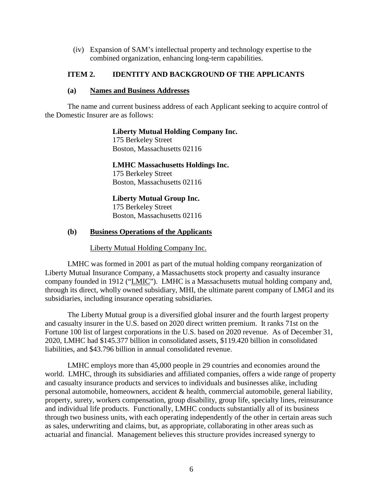(iv) Expansion of SAM's intellectual property and technology expertise to the combined organization, enhancing long-term capabilities.

## **ITEM 2. IDENTITY AND BACKGROUND OF THE APPLICANTS**

### **(a) Names and Business Addresses**

The name and current business address of each Applicant seeking to acquire control of the Domestic Insurer are as follows:

## **Liberty Mutual Holding Company Inc.**

175 Berkeley Street Boston, Massachusetts 02116

## **LMHC Massachusetts Holdings Inc.**

175 Berkeley Street Boston, Massachusetts 02116

# **Liberty Mutual Group Inc.**

175 Berkeley Street Boston, Massachusetts 02116

## **(b) Business Operations of the Applicants**

## Liberty Mutual Holding Company Inc.

LMHC was formed in 2001 as part of the mutual holding company reorganization of Liberty Mutual Insurance Company, a Massachusetts stock property and casualty insurance company founded in 1912 ("LMIC"). LMHC is a Massachusetts mutual holding company and, through its direct, wholly owned subsidiary, MHI, the ultimate parent company of LMGI and its subsidiaries, including insurance operating subsidiaries.

The Liberty Mutual group is a diversified global insurer and the fourth largest property and casualty insurer in the U.S. based on 2020 direct written premium. It ranks 71st on the Fortune 100 list of largest corporations in the U.S. based on 2020 revenue. As of December 31, 2020, LMHC had \$145.377 billion in consolidated assets, \$119.420 billion in consolidated liabilities, and \$43.796 billion in annual consolidated revenue.

LMHC employs more than 45,000 people in 29 countries and economies around the world. LMHC, through its subsidiaries and affiliated companies, offers a wide range of property and casualty insurance products and services to individuals and businesses alike, including personal automobile, homeowners, accident & health, commercial automobile, general liability, property, surety, workers compensation, group disability, group life, specialty lines, reinsurance and individual life products. Functionally, LMHC conducts substantially all of its business through two business units, with each operating independently of the other in certain areas such as sales, underwriting and claims, but, as appropriate, collaborating in other areas such as actuarial and financial. Management believes this structure provides increased synergy to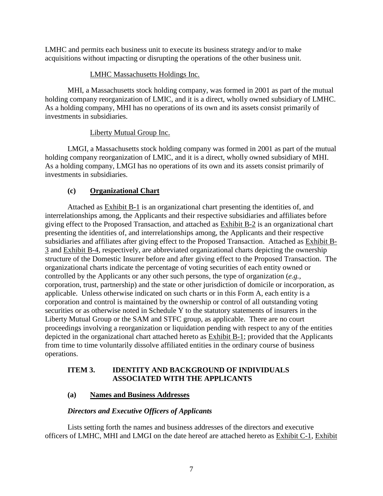LMHC and permits each business unit to execute its business strategy and/or to make acquisitions without impacting or disrupting the operations of the other business unit.

## LMHC Massachusetts Holdings Inc.

MHI, a Massachusetts stock holding company, was formed in 2001 as part of the mutual holding company reorganization of LMIC, and it is a direct, wholly owned subsidiary of LMHC. As a holding company, MHI has no operations of its own and its assets consist primarily of investments in subsidiaries.

# Liberty Mutual Group Inc.

LMGI, a Massachusetts stock holding company was formed in 2001 as part of the mutual holding company reorganization of LMIC, and it is a direct, wholly owned subsidiary of MHI. As a holding company, LMGI has no operations of its own and its assets consist primarily of investments in subsidiaries.

# **(c) Organizational Chart**

Attached as Exhibit B-1 is an organizational chart presenting the identities of, and interrelationships among, the Applicants and their respective subsidiaries and affiliates before giving effect to the Proposed Transaction, and attached as Exhibit B-2 is an organizational chart presenting the identities of, and interrelationships among, the Applicants and their respective subsidiaries and affiliates after giving effect to the Proposed Transaction. Attached as Exhibit B-3 and Exhibit B-4, respectively, are abbreviated organizational charts depicting the ownership structure of the Domestic Insurer before and after giving effect to the Proposed Transaction. The organizational charts indicate the percentage of voting securities of each entity owned or controlled by the Applicants or any other such persons, the type of organization (*e.g.,* corporation, trust, partnership) and the state or other jurisdiction of domicile or incorporation, as applicable. Unless otherwise indicated on such charts or in this Form A, each entity is a corporation and control is maintained by the ownership or control of all outstanding voting securities or as otherwise noted in Schedule Y to the statutory statements of insurers in the Liberty Mutual Group or the SAM and STFC group, as applicable. There are no court proceedings involving a reorganization or liquidation pending with respect to any of the entities depicted in the organizational chart attached hereto as Exhibit B-1; provided that the Applicants from time to time voluntarily dissolve affiliated entities in the ordinary course of business operations.

# **ITEM 3. IDENTITY AND BACKGROUND OF INDIVIDUALS ASSOCIATED WITH THE APPLICANTS**

# **(a) Names and Business Addresses**

# *Directors and Executive Officers of Applicants*

Lists setting forth the names and business addresses of the directors and executive officers of LMHC, MHI and LMGI on the date hereof are attached hereto as Exhibit C-1, Exhibit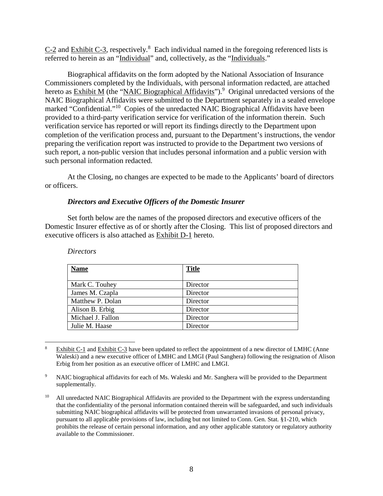$C-2$  and Exhibit  $C-3$ , respectively.<sup>8</sup> Each individual named in the foregoing referenced lists is referred to herein as an "Individual" and, collectively, as the "Individuals."

Biographical affidavits on the form adopted by the National Association of Insurance Commissioners completed by the Individuals, with personal information redacted, are attached hereto as **Exhibit M** (the "NAIC Biographical Affidavits").<sup>9</sup> Original unredacted versions of the NAIC Biographical Affidavits were submitted to the Department separately in a sealed envelope marked "Confidential."<sup>10</sup> Copies of the unredacted NAIC Biographical Affidavits have been provided to a third-party verification service for verification of the information therein. Such verification service has reported or will report its findings directly to the Department upon completion of the verification process and, pursuant to the Department's instructions, the vendor preparing the verification report was instructed to provide to the Department two versions of such report, a non-public version that includes personal information and a public version with such personal information redacted.

At the Closing, no changes are expected to be made to the Applicants' board of directors or officers.

### *Directors and Executive Officers of the Domestic Insurer*

Set forth below are the names of the proposed directors and executive officers of the Domestic Insurer effective as of or shortly after the Closing. This list of proposed directors and executive officers is also attached as Exhibit D-1 hereto.

| <b>Name</b>       | <b>Title</b> |
|-------------------|--------------|
|                   |              |
| Mark C. Touhey    | Director     |
| James M. Czapla   | Director     |
| Matthew P. Dolan  | Director     |
| Alison B. Erbig   | Director     |
| Michael J. Fallon | Director     |
| Julie M. Haase    | Director     |

*Directors* 

<sup>8</sup> Exhibit C-1 and Exhibit C-3 have been updated to reflect the appointment of a new director of LMHC (Anne Waleski) and a new executive officer of LMHC and LMGI (Paul Sanghera) following the resignation of Alison Erbig from her position as an executive officer of LMHC and LMGI.

<sup>9</sup> NAIC biographical affidavits for each of Ms. Waleski and Mr. Sanghera will be provided to the Department supplementally.

<sup>&</sup>lt;sup>10</sup> All unredacted NAIC Biographical Affidavits are provided to the Department with the express understanding that the confidentiality of the personal information contained therein will be safeguarded, and such individuals submitting NAIC biographical affidavits will be protected from unwarranted invasions of personal privacy, pursuant to all applicable provisions of law, including but not limited to Conn. Gen. Stat. §1-210, which prohibits the release of certain personal information, and any other applicable statutory or regulatory authority available to the Commissioner.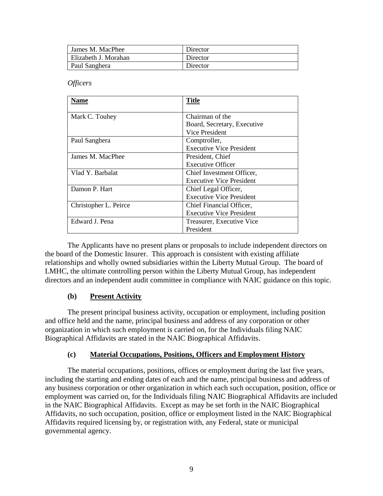| James M. MacPhee     | Director |
|----------------------|----------|
| Elizabeth J. Morahan | Director |
| Paul Sanghera        | Director |

*Officers* 

| Name                  | <b>Title</b>                    |
|-----------------------|---------------------------------|
| Mark C. Touhey        | Chairman of the                 |
|                       | Board, Secretary, Executive     |
|                       | Vice President                  |
| Paul Sanghera         | Comptroller,                    |
|                       | <b>Executive Vice President</b> |
| James M. MacPhee      | President, Chief                |
|                       | <b>Executive Officer</b>        |
| Vlad Y. Barbalat      | Chief Investment Officer,       |
|                       | <b>Executive Vice President</b> |
| Damon P. Hart         | Chief Legal Officer,            |
|                       | <b>Executive Vice President</b> |
| Christopher L. Peirce | Chief Financial Officer,        |
|                       | <b>Executive Vice President</b> |
| Edward J. Pena        | Treasurer, Executive Vice       |
|                       | President                       |

The Applicants have no present plans or proposals to include independent directors on the board of the Domestic Insurer. This approach is consistent with existing affiliate relationships and wholly owned subsidiaries within the Liberty Mutual Group. The board of LMHC, the ultimate controlling person within the Liberty Mutual Group, has independent directors and an independent audit committee in compliance with NAIC guidance on this topic.

# **(b) Present Activity**

The present principal business activity, occupation or employment, including position and office held and the name, principal business and address of any corporation or other organization in which such employment is carried on, for the Individuals filing NAIC Biographical Affidavits are stated in the NAIC Biographical Affidavits.

## **(c) Material Occupations, Positions, Officers and Employment History**

The material occupations, positions, offices or employment during the last five years, including the starting and ending dates of each and the name, principal business and address of any business corporation or other organization in which each such occupation, position, office or employment was carried on, for the Individuals filing NAIC Biographical Affidavits are included in the NAIC Biographical Affidavits. Except as may be set forth in the NAIC Biographical Affidavits, no such occupation, position, office or employment listed in the NAIC Biographical Affidavits required licensing by, or registration with, any Federal, state or municipal governmental agency.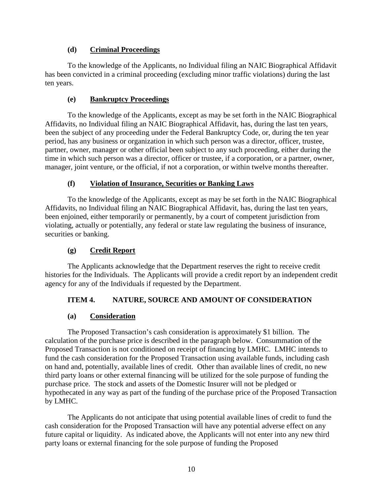## **(d) Criminal Proceedings**

To the knowledge of the Applicants, no Individual filing an NAIC Biographical Affidavit has been convicted in a criminal proceeding (excluding minor traffic violations) during the last ten years.

# **(e) Bankruptcy Proceedings**

To the knowledge of the Applicants, except as may be set forth in the NAIC Biographical Affidavits, no Individual filing an NAIC Biographical Affidavit, has, during the last ten years, been the subject of any proceeding under the Federal Bankruptcy Code, or, during the ten year period, has any business or organization in which such person was a director, officer, trustee, partner, owner, manager or other official been subject to any such proceeding, either during the time in which such person was a director, officer or trustee, if a corporation, or a partner, owner, manager, joint venture, or the official, if not a corporation, or within twelve months thereafter.

# **(f) Violation of Insurance, Securities or Banking Laws**

To the knowledge of the Applicants, except as may be set forth in the NAIC Biographical Affidavits, no Individual filing an NAIC Biographical Affidavit, has, during the last ten years, been enjoined, either temporarily or permanently, by a court of competent jurisdiction from violating, actually or potentially, any federal or state law regulating the business of insurance, securities or banking.

# **(g) Credit Report**

The Applicants acknowledge that the Department reserves the right to receive credit histories for the Individuals. The Applicants will provide a credit report by an independent credit agency for any of the Individuals if requested by the Department.

# **ITEM 4. NATURE, SOURCE AND AMOUNT OF CONSIDERATION**

# **(a) Consideration**

The Proposed Transaction's cash consideration is approximately \$1 billion. The calculation of the purchase price is described in the paragraph below. Consummation of the Proposed Transaction is not conditioned on receipt of financing by LMHC. LMHC intends to fund the cash consideration for the Proposed Transaction using available funds, including cash on hand and, potentially, available lines of credit. Other than available lines of credit, no new third party loans or other external financing will be utilized for the sole purpose of funding the purchase price. The stock and assets of the Domestic Insurer will not be pledged or hypothecated in any way as part of the funding of the purchase price of the Proposed Transaction by LMHC.

The Applicants do not anticipate that using potential available lines of credit to fund the cash consideration for the Proposed Transaction will have any potential adverse effect on any future capital or liquidity. As indicated above, the Applicants will not enter into any new third party loans or external financing for the sole purpose of funding the Proposed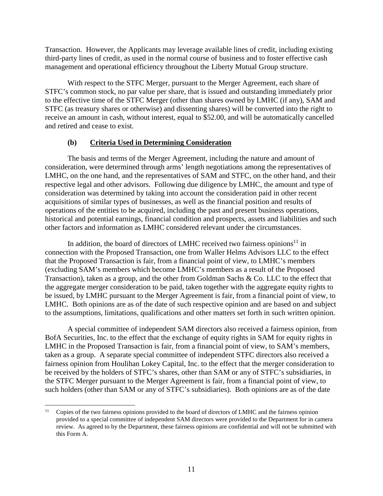Transaction. However, the Applicants may leverage available lines of credit, including existing third-party lines of credit, as used in the normal course of business and to foster effective cash management and operational efficiency throughout the Liberty Mutual Group structure.

With respect to the STFC Merger, pursuant to the Merger Agreement, each share of STFC's common stock, no par value per share, that is issued and outstanding immediately prior to the effective time of the STFC Merger (other than shares owned by LMHC (if any), SAM and STFC (as treasury shares or otherwise) and dissenting shares) will be converted into the right to receive an amount in cash, without interest, equal to \$52.00, and will be automatically cancelled and retired and cease to exist.

### **(b) Criteria Used in Determining Consideration**

The basis and terms of the Merger Agreement, including the nature and amount of consideration, were determined through arms' length negotiations among the representatives of LMHC, on the one hand, and the representatives of SAM and STFC, on the other hand, and their respective legal and other advisors. Following due diligence by LMHC, the amount and type of consideration was determined by taking into account the consideration paid in other recent acquisitions of similar types of businesses, as well as the financial position and results of operations of the entities to be acquired, including the past and present business operations, historical and potential earnings, financial condition and prospects, assets and liabilities and such other factors and information as LMHC considered relevant under the circumstances.

In addition, the board of directors of LMHC received two fairness opinions $11$  in connection with the Proposed Transaction, one from Waller Helms Advisors LLC to the effect that the Proposed Transaction is fair, from a financial point of view, to LMHC's members (excluding SAM's members which become LMHC's members as a result of the Proposed Transaction), taken as a group, and the other from Goldman Sachs & Co. LLC to the effect that the aggregate merger consideration to be paid, taken together with the aggregate equity rights to be issued, by LMHC pursuant to the Merger Agreement is fair, from a financial point of view, to LMHC. Both opinions are as of the date of such respective opinion and are based on and subject to the assumptions, limitations, qualifications and other matters set forth in such written opinion.

A special committee of independent SAM directors also received a fairness opinion, from BofA Securities, Inc. to the effect that the exchange of equity rights in SAM for equity rights in LMHC in the Proposed Transaction is fair, from a financial point of view, to SAM's members, taken as a group. A separate special committee of independent STFC directors also received a fairness opinion from Houlihan Lokey Capital, Inc. to the effect that the merger consideration to be received by the holders of STFC's shares, other than SAM or any of STFC's subsidiaries, in the STFC Merger pursuant to the Merger Agreement is fair, from a financial point of view, to such holders (other than SAM or any of STFC's subsidiaries). Both opinions are as of the date

<sup>&</sup>lt;sup>11</sup> Copies of the two fairness opinions provided to the board of directors of LMHC and the fairness opinion provided to a special committee of independent SAM directors were provided to the Department for in camera review. As agreed to by the Department, these fairness opinions are confidential and will not be submitted with this Form A.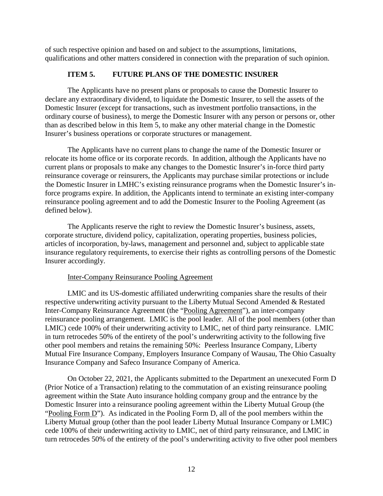of such respective opinion and based on and subject to the assumptions, limitations, qualifications and other matters considered in connection with the preparation of such opinion.

# **ITEM 5. FUTURE PLANS OF THE DOMESTIC INSURER**

The Applicants have no present plans or proposals to cause the Domestic Insurer to declare any extraordinary dividend, to liquidate the Domestic Insurer, to sell the assets of the Domestic Insurer (except for transactions, such as investment portfolio transactions, in the ordinary course of business), to merge the Domestic Insurer with any person or persons or, other than as described below in this Item 5, to make any other material change in the Domestic Insurer's business operations or corporate structures or management.

The Applicants have no current plans to change the name of the Domestic Insurer or relocate its home office or its corporate records. In addition, although the Applicants have no current plans or proposals to make any changes to the Domestic Insurer's in-force third party reinsurance coverage or reinsurers, the Applicants may purchase similar protections or include the Domestic Insurer in LMHC's existing reinsurance programs when the Domestic Insurer's inforce programs expire. In addition, the Applicants intend to terminate an existing inter-company reinsurance pooling agreement and to add the Domestic Insurer to the Pooling Agreement (as defined below).

The Applicants reserve the right to review the Domestic Insurer's business, assets, corporate structure, dividend policy, capitalization, operating properties, business policies, articles of incorporation, by-laws, management and personnel and, subject to applicable state insurance regulatory requirements, to exercise their rights as controlling persons of the Domestic Insurer accordingly.

# Inter-Company Reinsurance Pooling Agreement

LMIC and its US-domestic affiliated underwriting companies share the results of their respective underwriting activity pursuant to the Liberty Mutual Second Amended & Restated Inter-Company Reinsurance Agreement (the "Pooling Agreement"), an inter-company reinsurance pooling arrangement. LMIC is the pool leader. All of the pool members (other than LMIC) cede 100% of their underwriting activity to LMIC, net of third party reinsurance. LMIC in turn retrocedes 50% of the entirety of the pool's underwriting activity to the following five other pool members and retains the remaining 50%: Peerless Insurance Company, Liberty Mutual Fire Insurance Company, Employers Insurance Company of Wausau, The Ohio Casualty Insurance Company and Safeco Insurance Company of America.

On October 22, 2021, the Applicants submitted to the Department an unexecuted Form D (Prior Notice of a Transaction) relating to the commutation of an existing reinsurance pooling agreement within the State Auto insurance holding company group and the entrance by the Domestic Insurer into a reinsurance pooling agreement within the Liberty Mutual Group (the "Pooling Form D"). As indicated in the Pooling Form D, all of the pool members within the Liberty Mutual group (other than the pool leader Liberty Mutual Insurance Company or LMIC) cede 100% of their underwriting activity to LMIC, net of third party reinsurance, and LMIC in turn retrocedes 50% of the entirety of the pool's underwriting activity to five other pool members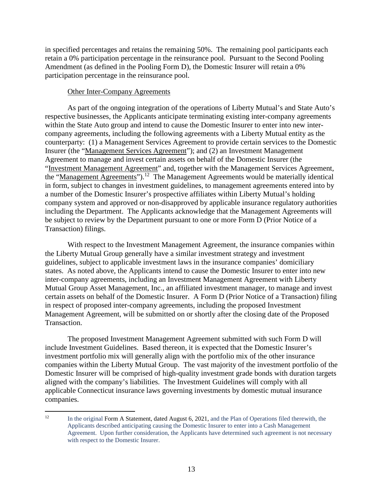in specified percentages and retains the remaining 50%. The remaining pool participants each retain a 0% participation percentage in the reinsurance pool. Pursuant to the Second Pooling Amendment (as defined in the Pooling Form D), the Domestic Insurer will retain a 0% participation percentage in the reinsurance pool.

### Other Inter-Company Agreements

As part of the ongoing integration of the operations of Liberty Mutual's and State Auto's respective businesses, the Applicants anticipate terminating existing inter-company agreements within the State Auto group and intend to cause the Domestic Insurer to enter into new intercompany agreements, including the following agreements with a Liberty Mutual entity as the counterparty: (1) a Management Services Agreement to provide certain services to the Domestic Insurer (the "Management Services Agreement"); and (2) an Investment Management Agreement to manage and invest certain assets on behalf of the Domestic Insurer (the "Investment Management Agreement" and, together with the Management Services Agreement, the "Management Agreements").<sup>12</sup> The Management Agreements would be materially identical in form, subject to changes in investment guidelines, to management agreements entered into by a number of the Domestic Insurer's prospective affiliates within Liberty Mutual's holding company system and approved or non-disapproved by applicable insurance regulatory authorities including the Department. The Applicants acknowledge that the Management Agreements will be subject to review by the Department pursuant to one or more Form D (Prior Notice of a Transaction) filings.

With respect to the Investment Management Agreement, the insurance companies within the Liberty Mutual Group generally have a similar investment strategy and investment guidelines, subject to applicable investment laws in the insurance companies' domiciliary states. As noted above, the Applicants intend to cause the Domestic Insurer to enter into new inter-company agreements, including an Investment Management Agreement with Liberty Mutual Group Asset Management, Inc., an affiliated investment manager, to manage and invest certain assets on behalf of the Domestic Insurer. A Form D (Prior Notice of a Transaction) filing in respect of proposed inter-company agreements, including the proposed Investment Management Agreement, will be submitted on or shortly after the closing date of the Proposed Transaction.

The proposed Investment Management Agreement submitted with such Form D will include Investment Guidelines. Based thereon, it is expected that the Domestic Insurer's investment portfolio mix will generally align with the portfolio mix of the other insurance companies within the Liberty Mutual Group. The vast majority of the investment portfolio of the Domestic Insurer will be comprised of high-quality investment grade bonds with duration targets aligned with the company's liabilities. The Investment Guidelines will comply with all applicable Connecticut insurance laws governing investments by domestic mutual insurance companies.

<sup>&</sup>lt;sup>12</sup> In the original Form A Statement, dated August 6, 2021, and the Plan of Operations filed therewith, the Applicants described anticipating causing the Domestic Insurer to enter into a Cash Management Agreement. Upon further consideration, the Applicants have determined such agreement is not necessary with respect to the Domestic Insurer.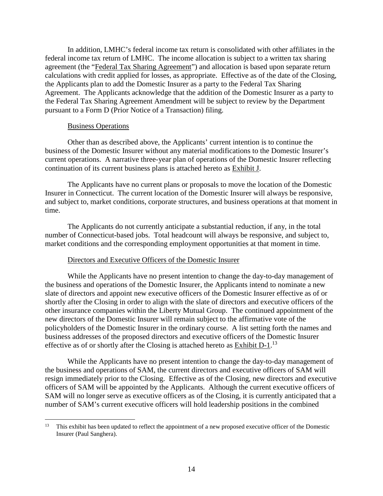In addition, LMHC's federal income tax return is consolidated with other affiliates in the federal income tax return of LMHC. The income allocation is subject to a written tax sharing agreement (the "Federal Tax Sharing Agreement") and allocation is based upon separate return calculations with credit applied for losses, as appropriate. Effective as of the date of the Closing, the Applicants plan to add the Domestic Insurer as a party to the Federal Tax Sharing Agreement. The Applicants acknowledge that the addition of the Domestic Insurer as a party to the Federal Tax Sharing Agreement Amendment will be subject to review by the Department pursuant to a Form D (Prior Notice of a Transaction) filing.

#### Business Operations

Other than as described above, the Applicants' current intention is to continue the business of the Domestic Insurer without any material modifications to the Domestic Insurer's current operations. A narrative three-year plan of operations of the Domestic Insurer reflecting continuation of its current business plans is attached hereto as Exhibit J.

The Applicants have no current plans or proposals to move the location of the Domestic Insurer in Connecticut. The current location of the Domestic Insurer will always be responsive, and subject to, market conditions, corporate structures, and business operations at that moment in time.

The Applicants do not currently anticipate a substantial reduction, if any, in the total number of Connecticut-based jobs. Total headcount will always be responsive, and subject to, market conditions and the corresponding employment opportunities at that moment in time.

### Directors and Executive Officers of the Domestic Insurer

While the Applicants have no present intention to change the day-to-day management of the business and operations of the Domestic Insurer, the Applicants intend to nominate a new slate of directors and appoint new executive officers of the Domestic Insurer effective as of or shortly after the Closing in order to align with the slate of directors and executive officers of the other insurance companies within the Liberty Mutual Group. The continued appointment of the new directors of the Domestic Insurer will remain subject to the affirmative vote of the policyholders of the Domestic Insurer in the ordinary course. A list setting forth the names and business addresses of the proposed directors and executive officers of the Domestic Insurer effective as of or shortly after the Closing is attached hereto as Exhibit  $D-1$ .<sup>13</sup>

While the Applicants have no present intention to change the day-to-day management of the business and operations of SAM, the current directors and executive officers of SAM will resign immediately prior to the Closing. Effective as of the Closing, new directors and executive officers of SAM will be appointed by the Applicants. Although the current executive officers of SAM will no longer serve as executive officers as of the Closing, it is currently anticipated that a number of SAM's current executive officers will hold leadership positions in the combined

<sup>&</sup>lt;sup>13</sup> This exhibit has been updated to reflect the appointment of a new proposed executive officer of the Domestic Insurer (Paul Sanghera).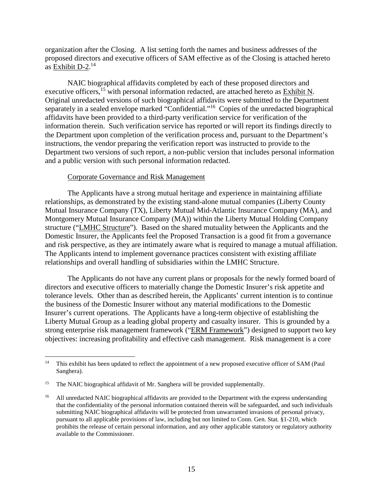organization after the Closing. A list setting forth the names and business addresses of the proposed directors and executive officers of SAM effective as of the Closing is attached hereto as Exhibit D-2.<sup>14</sup>

NAIC biographical affidavits completed by each of these proposed directors and executive officers,<sup>15</sup> with personal information redacted, are attached hereto as Exhibit N. Original unredacted versions of such biographical affidavits were submitted to the Department separately in a sealed envelope marked "Confidential."<sup>16</sup> Copies of the unredacted biographical affidavits have been provided to a third-party verification service for verification of the information therein. Such verification service has reported or will report its findings directly to the Department upon completion of the verification process and, pursuant to the Department's instructions, the vendor preparing the verification report was instructed to provide to the Department two versions of such report, a non-public version that includes personal information and a public version with such personal information redacted.

### Corporate Governance and Risk Management

The Applicants have a strong mutual heritage and experience in maintaining affiliate relationships, as demonstrated by the existing stand-alone mutual companies (Liberty County Mutual Insurance Company (TX), Liberty Mutual Mid-Atlantic Insurance Company (MA), and Montgomery Mutual Insurance Company (MA)) within the Liberty Mutual Holding Company structure ("LMHC Structure"). Based on the shared mutuality between the Applicants and the Domestic Insurer, the Applicants feel the Proposed Transaction is a good fit from a governance and risk perspective, as they are intimately aware what is required to manage a mutual affiliation. The Applicants intend to implement governance practices consistent with existing affiliate relationships and overall handling of subsidiaries within the LMHC Structure.

The Applicants do not have any current plans or proposals for the newly formed board of directors and executive officers to materially change the Domestic Insurer's risk appetite and tolerance levels. Other than as described herein, the Applicants' current intention is to continue the business of the Domestic Insurer without any material modifications to the Domestic Insurer's current operations. The Applicants have a long-term objective of establishing the Liberty Mutual Group as a leading global property and casualty insurer. This is grounded by a strong enterprise risk management framework ("ERM Framework") designed to support two key objectives: increasing profitability and effective cash management. Risk management is a core

<sup>&</sup>lt;sup>14</sup> This exhibit has been updated to reflect the appointment of a new proposed executive officer of SAM (Paul Sanghera).

<sup>&</sup>lt;sup>15</sup> The NAIC biographical affidavit of Mr. Sanghera will be provided supplementally.

<sup>&</sup>lt;sup>16</sup> All unredacted NAIC biographical affidavits are provided to the Department with the express understanding that the confidentiality of the personal information contained therein will be safeguarded, and such individuals submitting NAIC biographical affidavits will be protected from unwarranted invasions of personal privacy, pursuant to all applicable provisions of law, including but not limited to Conn. Gen. Stat. §1-210, which prohibits the release of certain personal information, and any other applicable statutory or regulatory authority available to the Commissioner.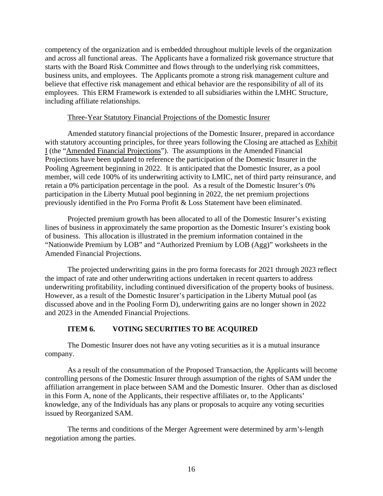competency of the organization and is embedded throughout multiple levels of the organization and across all functional areas. The Applicants have a formalized risk governance structure that starts with the Board Risk Committee and flows through to the underlying risk committees, business units, and employees. The Applicants promote a strong risk management culture and believe that effective risk management and ethical behavior are the responsibility of all of its employees. This ERM Framework is extended to all subsidiaries within the LMHC Structure, including affiliate relationships.

### Three-Year Statutory Financial Projections of the Domestic Insurer

Amended statutory financial projections of the Domestic Insurer, prepared in accordance with statutory accounting principles, for three years following the Closing are attached as Exhibit I (the "Amended Financial Projections"). The assumptions in the Amended Financial Projections have been updated to reference the participation of the Domestic Insurer in the Pooling Agreement beginning in 2022. It is anticipated that the Domestic Insurer, as a pool member, will cede 100% of its underwriting activity to LMIC, net of third party reinsurance, and retain a 0% participation percentage in the pool. As a result of the Domestic Insurer's 0% participation in the Liberty Mutual pool beginning in 2022, the net premium projections previously identified in the Pro Forma Profit & Loss Statement have been eliminated.

Projected premium growth has been allocated to all of the Domestic Insurer's existing lines of business in approximately the same proportion as the Domestic Insurer's existing book of business. This allocation is illustrated in the premium information contained in the "Nationwide Premium by LOB" and "Authorized Premium by LOB (Agg)" worksheets in the Amended Financial Projections.

The projected underwriting gains in the pro forma forecasts for 2021 through 2023 reflect the impact of rate and other underwriting actions undertaken in recent quarters to address underwriting profitability, including continued diversification of the property books of business. However, as a result of the Domestic Insurer's participation in the Liberty Mutual pool (as discussed above and in the Pooling Form D), underwriting gains are no longer shown in 2022 and 2023 in the Amended Financial Projections.

# **ITEM 6. VOTING SECURITIES TO BE ACQUIRED**

The Domestic Insurer does not have any voting securities as it is a mutual insurance company.

As a result of the consummation of the Proposed Transaction, the Applicants will become controlling persons of the Domestic Insurer through assumption of the rights of SAM under the affiliation arrangement in place between SAM and the Domestic Insurer. Other than as disclosed in this Form A, none of the Applicants, their respective affiliates or, to the Applicants' knowledge, any of the Individuals has any plans or proposals to acquire any voting securities issued by Reorganized SAM.

The terms and conditions of the Merger Agreement were determined by arm's-length negotiation among the parties.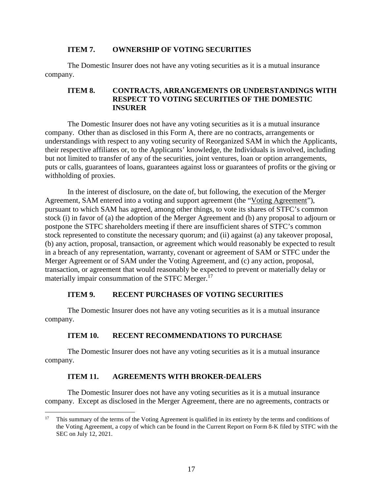## **ITEM 7. OWNERSHIP OF VOTING SECURITIES**

The Domestic Insurer does not have any voting securities as it is a mutual insurance company.

# **ITEM 8. CONTRACTS, ARRANGEMENTS OR UNDERSTANDINGS WITH RESPECT TO VOTING SECURITIES OF THE DOMESTIC INSURER**

The Domestic Insurer does not have any voting securities as it is a mutual insurance company. Other than as disclosed in this Form A, there are no contracts, arrangements or understandings with respect to any voting security of Reorganized SAM in which the Applicants, their respective affiliates or, to the Applicants' knowledge, the Individuals is involved, including but not limited to transfer of any of the securities, joint ventures, loan or option arrangements, puts or calls, guarantees of loans, guarantees against loss or guarantees of profits or the giving or withholding of proxies.

In the interest of disclosure, on the date of, but following, the execution of the Merger Agreement, SAM entered into a voting and support agreement (the "Voting Agreement"), pursuant to which SAM has agreed, among other things, to vote its shares of STFC's common stock (i) in favor of (a) the adoption of the Merger Agreement and (b) any proposal to adjourn or postpone the STFC shareholders meeting if there are insufficient shares of STFC's common stock represented to constitute the necessary quorum; and (ii) against (a) any takeover proposal, (b) any action, proposal, transaction, or agreement which would reasonably be expected to result in a breach of any representation, warranty, covenant or agreement of SAM or STFC under the Merger Agreement or of SAM under the Voting Agreement, and (c) any action, proposal, transaction, or agreement that would reasonably be expected to prevent or materially delay or materially impair consummation of the STFC Merger.<sup>17</sup>

# **ITEM 9. RECENT PURCHASES OF VOTING SECURITIES**

The Domestic Insurer does not have any voting securities as it is a mutual insurance company.

# **ITEM 10. RECENT RECOMMENDATIONS TO PURCHASE**

The Domestic Insurer does not have any voting securities as it is a mutual insurance company.

# **ITEM 11. AGREEMENTS WITH BROKER-DEALERS**

The Domestic Insurer does not have any voting securities as it is a mutual insurance company. Except as disclosed in the Merger Agreement, there are no agreements, contracts or

<sup>&</sup>lt;sup>17</sup> This summary of the terms of the Voting Agreement is qualified in its entirety by the terms and conditions of the Voting Agreement, a copy of which can be found in the Current Report on Form 8-K filed by STFC with the SEC on July 12, 2021.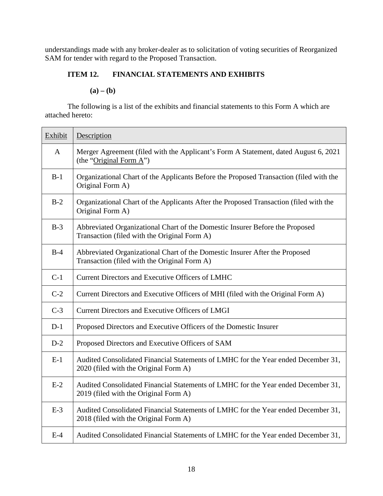understandings made with any broker-dealer as to solicitation of voting securities of Reorganized SAM for tender with regard to the Proposed Transaction.

# **ITEM 12. FINANCIAL STATEMENTS AND EXHIBITS**

 $(a) - (b)$ 

The following is a list of the exhibits and financial statements to this Form A which are attached hereto:

| Exhibit      | Description                                                                                                                  |
|--------------|------------------------------------------------------------------------------------------------------------------------------|
| $\mathbf{A}$ | Merger Agreement (filed with the Applicant's Form A Statement, dated August 6, 2021<br>(the "Original Form $A$ ")            |
| $B-1$        | Organizational Chart of the Applicants Before the Proposed Transaction (filed with the<br>Original Form A)                   |
| $B-2$        | Organizational Chart of the Applicants After the Proposed Transaction (filed with the<br>Original Form A)                    |
| $B-3$        | Abbreviated Organizational Chart of the Domestic Insurer Before the Proposed<br>Transaction (filed with the Original Form A) |
| $B-4$        | Abbreviated Organizational Chart of the Domestic Insurer After the Proposed<br>Transaction (filed with the Original Form A)  |
| $C-1$        | <b>Current Directors and Executive Officers of LMHC</b>                                                                      |
| $C-2$        | Current Directors and Executive Officers of MHI (filed with the Original Form A)                                             |
| $C-3$        | <b>Current Directors and Executive Officers of LMGI</b>                                                                      |
| $D-1$        | Proposed Directors and Executive Officers of the Domestic Insurer                                                            |
| $D-2$        | Proposed Directors and Executive Officers of SAM                                                                             |
| $E-1$        | Audited Consolidated Financial Statements of LMHC for the Year ended December 31,<br>2020 (filed with the Original Form A)   |
| $E-2$        | Audited Consolidated Financial Statements of LMHC for the Year ended December 31,<br>2019 (filed with the Original Form A)   |
| $E-3$        | Audited Consolidated Financial Statements of LMHC for the Year ended December 31,<br>2018 (filed with the Original Form A)   |
| $E-4$        | Audited Consolidated Financial Statements of LMHC for the Year ended December 31,                                            |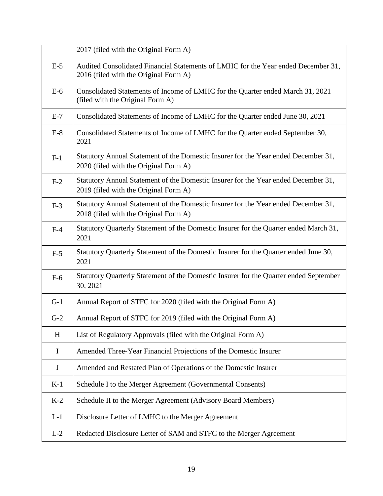|              | 2017 (filed with the Original Form A)                                                                                       |
|--------------|-----------------------------------------------------------------------------------------------------------------------------|
| $E-5$        | Audited Consolidated Financial Statements of LMHC for the Year ended December 31,<br>2016 (filed with the Original Form A)  |
| $E-6$        | Consolidated Statements of Income of LMHC for the Quarter ended March 31, 2021<br>(filed with the Original Form A)          |
| $E-7$        | Consolidated Statements of Income of LMHC for the Quarter ended June 30, 2021                                               |
| $E-8$        | Consolidated Statements of Income of LMHC for the Quarter ended September 30,<br>2021                                       |
| $F-1$        | Statutory Annual Statement of the Domestic Insurer for the Year ended December 31,<br>2020 (filed with the Original Form A) |
| $F-2$        | Statutory Annual Statement of the Domestic Insurer for the Year ended December 31,<br>2019 (filed with the Original Form A) |
| $F-3$        | Statutory Annual Statement of the Domestic Insurer for the Year ended December 31,<br>2018 (filed with the Original Form A) |
| $F-4$        | Statutory Quarterly Statement of the Domestic Insurer for the Quarter ended March 31,<br>2021                               |
| $F-5$        | Statutory Quarterly Statement of the Domestic Insurer for the Quarter ended June 30,<br>2021                                |
| $F-6$        | Statutory Quarterly Statement of the Domestic Insurer for the Quarter ended September<br>30, 2021                           |
| $G-1$        | Annual Report of STFC for 2020 (filed with the Original Form A)                                                             |
| $G-2$        | Annual Report of STFC for 2019 (filed with the Original Form A)                                                             |
| H            | List of Regulatory Approvals (filed with the Original Form A)                                                               |
| $\bf{I}$     | Amended Three-Year Financial Projections of the Domestic Insurer                                                            |
| $\mathbf{J}$ | Amended and Restated Plan of Operations of the Domestic Insurer                                                             |
| $K-1$        | Schedule I to the Merger Agreement (Governmental Consents)                                                                  |
| $K-2$        | Schedule II to the Merger Agreement (Advisory Board Members)                                                                |
| $L-1$        | Disclosure Letter of LMHC to the Merger Agreement                                                                           |
| $L-2$        | Redacted Disclosure Letter of SAM and STFC to the Merger Agreement                                                          |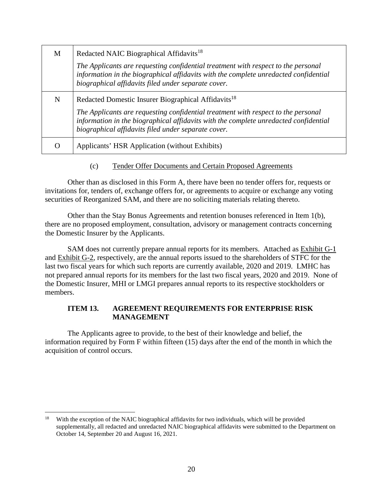| M | Redacted NAIC Biographical Affidavits <sup>18</sup>                                                                                                                                                                              |
|---|----------------------------------------------------------------------------------------------------------------------------------------------------------------------------------------------------------------------------------|
|   | The Applicants are requesting confidential treatment with respect to the personal<br>information in the biographical affidavits with the complete unredacted confidential<br>biographical affidavits filed under separate cover. |
| N | Redacted Domestic Insurer Biographical Affidavits <sup>18</sup>                                                                                                                                                                  |
|   | The Applicants are requesting confidential treatment with respect to the personal<br>information in the biographical affidavits with the complete unredacted confidential<br>biographical affidavits filed under separate cover. |
|   | Applicants' HSR Application (without Exhibits)                                                                                                                                                                                   |

(c) Tender Offer Documents and Certain Proposed Agreements

Other than as disclosed in this Form A, there have been no tender offers for, requests or invitations for, tenders of, exchange offers for, or agreements to acquire or exchange any voting securities of Reorganized SAM, and there are no soliciting materials relating thereto.

Other than the Stay Bonus Agreements and retention bonuses referenced in Item 1(b), there are no proposed employment, consultation, advisory or management contracts concerning the Domestic Insurer by the Applicants.

SAM does not currently prepare annual reports for its members. Attached as Exhibit G-1 and Exhibit G-2, respectively, are the annual reports issued to the shareholders of STFC for the last two fiscal years for which such reports are currently available, 2020 and 2019. LMHC has not prepared annual reports for its members for the last two fiscal years, 2020 and 2019. None of the Domestic Insurer, MHI or LMGI prepares annual reports to its respective stockholders or members.

## **ITEM 13. AGREEMENT REQUIREMENTS FOR ENTERPRISE RISK MANAGEMENT**

The Applicants agree to provide, to the best of their knowledge and belief, the information required by Form F within fifteen (15) days after the end of the month in which the acquisition of control occurs.

<sup>&</sup>lt;sup>18</sup> With the exception of the NAIC biographical affidavits for two individuals, which will be provided supplementally, all redacted and unredacted NAIC biographical affidavits were submitted to the Department on October 14, September 20 and August 16, 2021.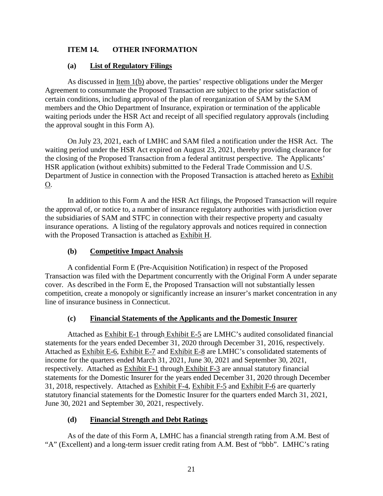# **ITEM 14. OTHER INFORMATION**

# **(a) List of Regulatory Filings**

As discussed in Item 1(b) above, the parties' respective obligations under the Merger Agreement to consummate the Proposed Transaction are subject to the prior satisfaction of certain conditions, including approval of the plan of reorganization of SAM by the SAM members and the Ohio Department of Insurance, expiration or termination of the applicable waiting periods under the HSR Act and receipt of all specified regulatory approvals (including the approval sought in this Form A).

On July 23, 2021, each of LMHC and SAM filed a notification under the HSR Act. The waiting period under the HSR Act expired on August 23, 2021, thereby providing clearance for the closing of the Proposed Transaction from a federal antitrust perspective. The Applicants' HSR application (without exhibits) submitted to the Federal Trade Commission and U.S. Department of Justice in connection with the Proposed Transaction is attached hereto as Exhibit O.

In addition to this Form A and the HSR Act filings, the Proposed Transaction will require the approval of, or notice to, a number of insurance regulatory authorities with jurisdiction over the subsidiaries of SAM and STFC in connection with their respective property and casualty insurance operations. A listing of the regulatory approvals and notices required in connection with the Proposed Transaction is attached as Exhibit H.

# **(b) Competitive Impact Analysis**

A confidential Form E (Pre-Acquisition Notification) in respect of the Proposed Transaction was filed with the Department concurrently with the Original Form A under separate cover. As described in the Form E, the Proposed Transaction will not substantially lessen competition, create a monopoly or significantly increase an insurer's market concentration in any line of insurance business in Connecticut.

# **(c) Financial Statements of the Applicants and the Domestic Insurer**

Attached as Exhibit E-1 through Exhibit E-5 are LMHC's audited consolidated financial statements for the years ended December 31, 2020 through December 31, 2016, respectively. Attached as Exhibit E-6, Exhibit E-7 and Exhibit E-8 are LMHC's consolidated statements of income for the quarters ended March 31, 2021, June 30, 2021 and September 30, 2021, respectively. Attached as Exhibit F-1 through Exhibit F-3 are annual statutory financial statements for the Domestic Insurer for the years ended December 31, 2020 through December 31, 2018, respectively. Attached as Exhibit F-4, Exhibit F-5 and Exhibit F-6 are quarterly statutory financial statements for the Domestic Insurer for the quarters ended March 31, 2021, June 30, 2021 and September 30, 2021, respectively.

# **(d) Financial Strength and Debt Ratings**

As of the date of this Form A, LMHC has a financial strength rating from A.M. Best of "A" (Excellent) and a long-term issuer credit rating from A.M. Best of "bbb". LMHC's rating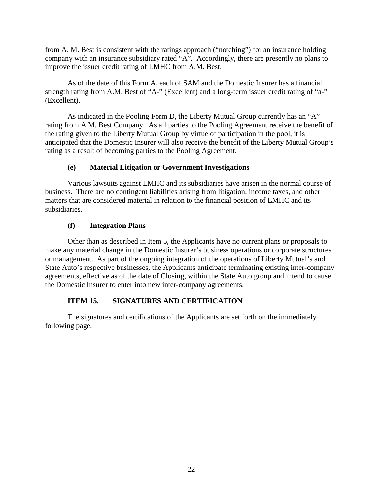from A. M. Best is consistent with the ratings approach ("notching") for an insurance holding company with an insurance subsidiary rated "A". Accordingly, there are presently no plans to improve the issuer credit rating of LMHC from A.M. Best.

As of the date of this Form A, each of SAM and the Domestic Insurer has a financial strength rating from A.M. Best of "A-" (Excellent) and a long-term issuer credit rating of "a-" (Excellent).

As indicated in the Pooling Form D, the Liberty Mutual Group currently has an "A" rating from A.M. Best Company. As all parties to the Pooling Agreement receive the benefit of the rating given to the Liberty Mutual Group by virtue of participation in the pool, it is anticipated that the Domestic Insurer will also receive the benefit of the Liberty Mutual Group's rating as a result of becoming parties to the Pooling Agreement.

# **(e) Material Litigation or Government Investigations**

Various lawsuits against LMHC and its subsidiaries have arisen in the normal course of business. There are no contingent liabilities arising from litigation, income taxes, and other matters that are considered material in relation to the financial position of LMHC and its subsidiaries.

# **(f) Integration Plans**

Other than as described in Item 5, the Applicants have no current plans or proposals to make any material change in the Domestic Insurer's business operations or corporate structures or management. As part of the ongoing integration of the operations of Liberty Mutual's and State Auto's respective businesses, the Applicants anticipate terminating existing inter-company agreements, effective as of the date of Closing, within the State Auto group and intend to cause the Domestic Insurer to enter into new inter-company agreements.

# **ITEM 15. SIGNATURES AND CERTIFICATION**

The signatures and certifications of the Applicants are set forth on the immediately following page.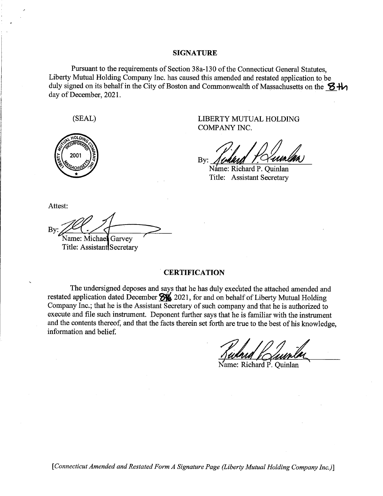#### **SIGNATURE**

Pursuant to the requirements of Section 38a-130 of the Connecticut General Statutes, Liberty Mutual Holding Company Inc. has caused this amended and restated application to be duly signed on its behalf in the City of Boston and Commonwealth of Massachusetts on the  $\mathbf{\Sigma} + \mathbf{b}$ day of December, 2021.



(SEAL) LIBERTY MUTUAL HOLDING COMPANY INC.

By: ERTY MUTUAL I L HOLDING<br>
Yumlan<br>
. Quinlan<br>Secretary

Title: Assistant Secretary

Attest:

 $By:$   $\overbrace{\text{Name: Michael Garvev}}^{\text{Blue}}$ Name: Michael Garvey

Title: Assistant Secretary

#### **CERTIFICATION**

The undersigned deposes and says that he has duly executed the attached amended and restated application dated December  $\frac{1}{2}$  2021, for and on behalf of Liberty Mutual Holding Company Inc.; that he is the Assistant Secretary of such company and that he is authorized to execute and file such instrument. Deponent further says that he is familiar with the instrument and the contents thereof, and that the facts therein set forth are true to the best of his knowledge, information and belief.

Name: Richard P. Quinlan

*[Connecticut Amended and Restated Form A Signature Page (Liberty Mutual Holding Company Inc.)]*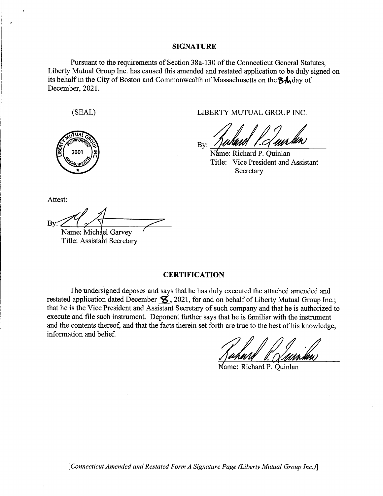#### **SIGNATURE**

Pursuant to the requirements of Section 38a-130 of the Connecticut General Statutes, Liberty Mutual Group Inc. has caused this amended and restated application to be duly signed on its behalf in the City of Boston and Commonwealth of Massachusetts on the  $\delta\mathbf{A}$  day of December, 2021.



(SEAL) LIBERTY MUTUAL GROUP INC.

*Suhand* P. Q. *i* GRO<br>*J<br><i>M*<br>*i* Quin<br>ident a *<u>EXECUP INC.</u><br> <i>Aun lun*<br> *x* inlan<br> *x* t and Assistant

By: *N* T itle: Vice Presi den t and Assistant **Secretary** 

Attest:

 $\sim$ 

 $B_y: 1$ <br>Name: Michael Garvey

Name: Michael Garvey Title: Assistant Secretary

#### **CERTIFICATION**

The undersigned deposes and says that he has duly executed the attached amended and restated application dated December  $\mathcal{L}$ , 2021, for and on behalf of Liberty Mutual Group Inc.; that he is the Vice President and Assistant Secretary of such company and that he is authorized to execute and file such instrument. Deponent further says that he is familiar with the instrument and the contents thereof, and that the facts therein set forth are true to the best of his knowledge, information and belie£

Name: Richard P. Ouinlan

[Connecticut Amended and Restated Form A Signature Page (Liberty Mutual Group Inc.)]